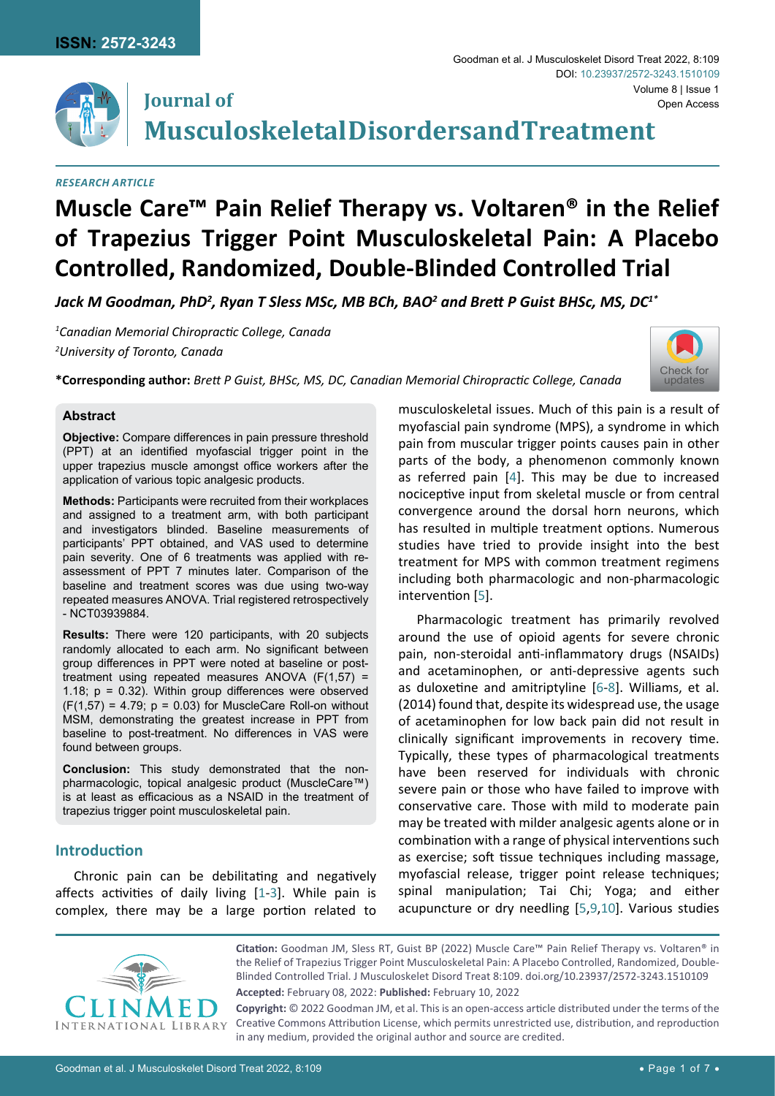

## **Journal of Musculoskeletal Disorders and Treatment**

#### *Research Article*

# **Muscle Care™ Pain Relief Therapy vs. Voltaren® in the Relief of Trapezius Trigger Point Musculoskeletal Pain: A Placebo Controlled, Randomized, Double-Blinded Controlled Trial**

Jack M Goodman, PhD<sup>2</sup>, Ryan T Sless MSc, MB BCh, BAO<sup>2</sup> and Brett P Guist BHSc, MS, DC<sup>1\*</sup>

*1 Canadian Memorial Chiropractic College, Canada 2 University of Toronto, Canada*



**\*Corresponding author:** *Brett P Guist, BHSc, MS, DC, Canadian Memorial Chiropractic College, Canada*

#### **Abstract**

**Objective:** Compare differences in pain pressure threshold (PPT) at an identified myofascial trigger point in the upper trapezius muscle amongst office workers after the application of various topic analgesic products.

**Methods:** Participants were recruited from their workplaces and assigned to a treatment arm, with both participant and investigators blinded. Baseline measurements of participants' PPT obtained, and VAS used to determine pain severity. One of 6 treatments was applied with reassessment of PPT 7 minutes later. Comparison of the baseline and treatment scores was due using two-way repeated measures ANOVA. Trial registered retrospectively - NCT03939884.

**Results:** There were 120 participants, with 20 subjects randomly allocated to each arm. No significant between group differences in PPT were noted at baseline or posttreatment using repeated measures ANOVA  $(F(1,57) =$ 1.18; p = 0.32). Within group differences were observed  $(F(1,57) = 4.79; p = 0.03)$  for MuscleCare Roll-on without MSM, demonstrating the greatest increase in PPT from baseline to post-treatment. No differences in VAS were found between groups.

**Conclusion:** This study demonstrated that the nonpharmacologic, topical analgesic product (MuscleCare™) is at least as efficacious as a NSAID in the treatment of trapezius trigger point musculoskeletal pain.

## **Introduction**

Chronic pain can be debilitating and negatively affects activities of daily living [[1](#page-6-6)[-3\]](#page-6-7). While pain is complex, there may be a large portion related to musculoskeletal issues. Much of this pain is a result of myofascial pain syndrome (MPS), a syndrome in which pain from muscular trigger points causes pain in other parts of the body, a phenomenon commonly known as referred pain [\[4\]](#page-6-0). This may be due to increased nociceptive input from skeletal muscle or from central convergence around the dorsal horn neurons, which has resulted in multiple treatment options. Numerous studies have tried to provide insight into the best treatment for MPS with common treatment regimens including both pharmacologic and non-pharmacologic intervention [[5\]](#page-6-1).

Pharmacologic treatment has primarily revolved around the use of opioid agents for severe chronic pain, non-steroidal anti-inflammatory drugs (NSAIDs) and acetaminophen, or anti-depressive agents such as duloxetine and amitriptyline [[6](#page-6-2)[-8\]](#page-6-3). Williams, et al. (2014) found that, despite its widespread use, the usage of acetaminophen for low back pain did not result in clinically significant improvements in recovery time. Typically, these types of pharmacological treatments have been reserved for individuals with chronic severe pain or those who have failed to improve with conservative care. Those with mild to moderate pain may be treated with milder analgesic agents alone or in combination with a range of physical interventions such as exercise; soft tissue techniques including massage, myofascial release, trigger point release techniques; spinal manipulation; Tai Chi; Yoga; and either acupuncture or dry needling [\[5](#page-6-1)[,9,](#page-6-4)[10\]](#page-6-5). Various studies



**Citation:** Goodman JM, Sless RT, Guist BP (2022) Muscle Care™ Pain Relief Therapy vs. Voltaren® in the Relief of Trapezius Trigger Point Musculoskeletal Pain: A Placebo Controlled, Randomized, Double-Blinded Controlled Trial. J Musculoskelet Disord Treat 8:109. [doi.org/10.23937/2572-3243.1510109](https://doi.org/10.23937/2572-3243.1510109)

**Accepted:** February 08, 2022: **Published:** February 10, 2022

**Copyright:** © 2022 Goodman JM, et al. This is an open-access article distributed under the terms of the Creative Commons Attribution License, which permits unrestricted use, distribution, and reproduction in any medium, provided the original author and source are credited.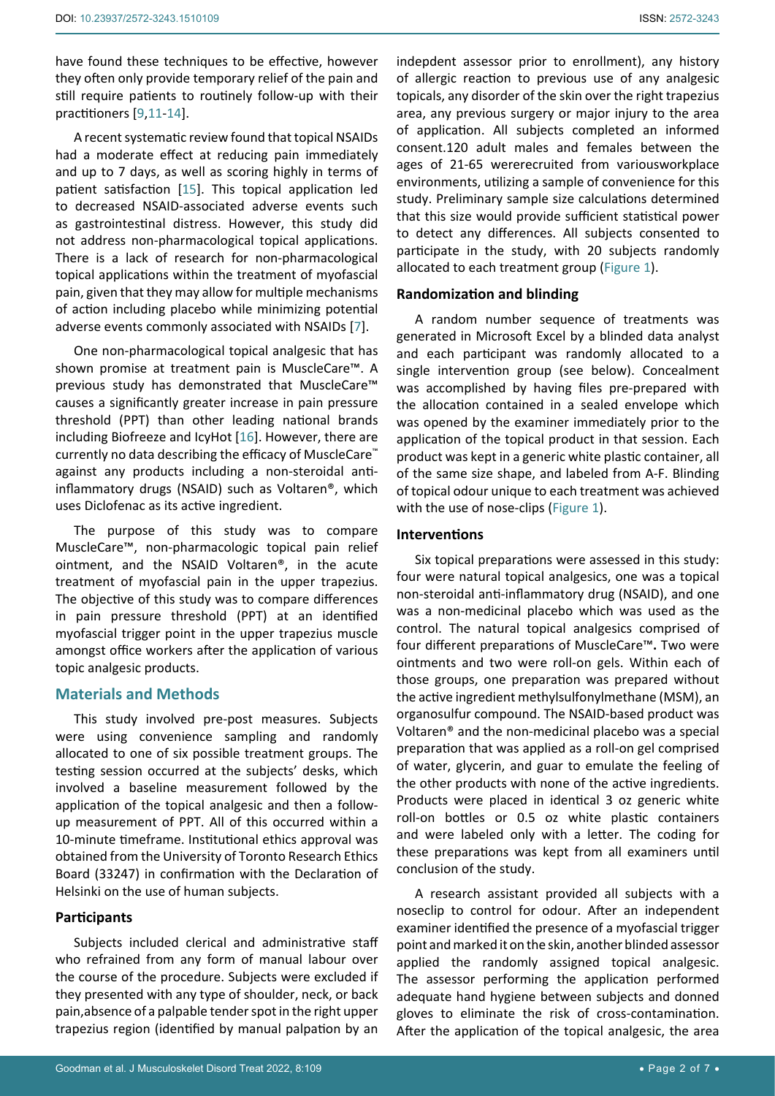have found these techniques to be effective, however they often only provide temporary relief of the pain and still require patients to routinely follow-up with their practitioners [[9,](#page-6-4)[11](#page-6-8)[-14](#page-6-9)].

A recent systematic review found that topical NSAIDs had a moderate effect at reducing pain immediately and up to 7 days, as well as scoring highly in terms of patient satisfaction [[15](#page-6-10)]. This topical application led to decreased NSAID-associated adverse events such as gastrointestinal distress. However, this study did not address non-pharmacological topical applications. There is a lack of research for non-pharmacological topical applications within the treatment of myofascial pain, given that they may allow for multiple mechanisms of action including placebo while minimizing potential adverse events commonly associated with NSAIDs [[7\]](#page-6-11).

One non-pharmacological topical analgesic that has shown promise at treatment pain is MuscleCare™. A previous study has demonstrated that MuscleCare™ causes a significantly greater increase in pain pressure threshold (PPT) than other leading national brands including Biofreeze and IcyHot [[16](#page-6-12)]. However, there are currently no data describing the efficacy of MuscleCare™ against any products including a non-steroidal antiinflammatory drugs (NSAID) such as Voltaren®, which uses Diclofenac as its active ingredient.

The purpose of this study was to compare MuscleCare™, non-pharmacologic topical pain relief ointment, and the NSAID Voltaren®, in the acute treatment of myofascial pain in the upper trapezius. The objective of this study was to compare differences in pain pressure threshold (PPT) at an identified myofascial trigger point in the upper trapezius muscle amongst office workers after the application of various topic analgesic products.

#### **Materials and Methods**

This study involved pre-post measures. Subjects were using convenience sampling and randomly allocated to one of six possible treatment groups. The testing session occurred at the subjects' desks, which involved a baseline measurement followed by the application of the topical analgesic and then a followup measurement of PPT. All of this occurred within a 10-minute timeframe. Institutional ethics approval was obtained from the University of Toronto Research Ethics Board (33247) in confirmation with the Declaration of Helsinki on the use of human subjects.

## **Participants**

Subjects included clerical and administrative staff who refrained from any form of manual labour over the course of the procedure. Subjects were excluded if they presented with any type of shoulder, neck, or back pain,absence of a palpable tender spot in the right upper trapezius region (identified by manual palpation by an

indepdent assessor prior to enrollment), any history of allergic reaction to previous use of any analgesic topicals, any disorder of the skin over the right trapezius area, any previous surgery or major injury to the area of application. All subjects completed an informed consent.120 adult males and females between the ages of 21-65 wererecruited from variousworkplace environments, utilizing a sample of convenience for this study. Preliminary sample size calculations determined that this size would provide sufficient statistical power to detect any differences. All subjects consented to participate in the study, with 20 subjects randomly allocated to each treatment group (Figure 1).

#### **Randomization and blinding**

A random number sequence of treatments was generated in Microsoft Excel by a blinded data analyst and each participant was randomly allocated to a single intervention group (see below). Concealment was accomplished by having files pre-prepared with the allocation contained in a sealed envelope which was opened by the examiner immediately prior to the application of the topical product in that session. Each product was kept in a generic white plastic container, all of the same size shape, and labeled from A-F. Blinding of topical odour unique to each treatment was achieved with the use of nose-clips (Figure 1).

## **Interventions**

Six topical preparations were assessed in this study: four were natural topical analgesics, one was a topical non-steroidal anti-inflammatory drug (NSAID), and one was a non-medicinal placebo which was used as the control. The natural topical analgesics comprised of four different preparations of MuscleCare™**.** Two were ointments and two were roll-on gels. Within each of those groups, one preparation was prepared without the active ingredient methylsulfonylmethane (MSM), an organosulfur compound. The NSAID-based product was Voltaren® and the non-medicinal placebo was a special preparation that was applied as a roll-on gel comprised of water, glycerin, and guar to emulate the feeling of the other products with none of the active ingredients. Products were placed in identical 3 oz generic white roll-on bottles or 0.5 oz white plastic containers and were labeled only with a letter. The coding for these preparations was kept from all examiners until conclusion of the study.

A research assistant provided all subjects with a noseclip to control for odour. After an independent examiner identified the presence of a myofascial trigger point and marked it on the skin, another blinded assessor applied the randomly assigned topical analgesic. The assessor performing the application performed adequate hand hygiene between subjects and donned gloves to eliminate the risk of cross-contamination. After the application of the topical analgesic, the area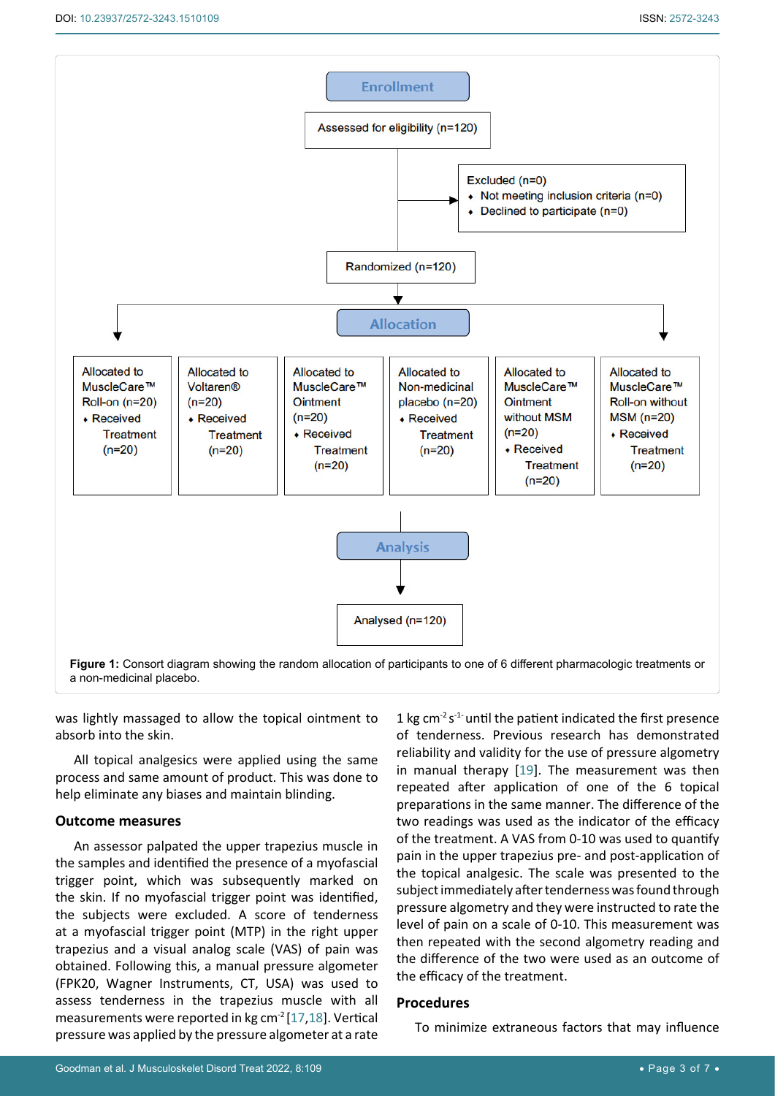

was lightly massaged to allow the topical ointment to absorb into the skin.

All topical analgesics were applied using the same process and same amount of product. This was done to help eliminate any biases and maintain blinding.

#### **Outcome measures**

An assessor palpated the upper trapezius muscle in the samples and identified the presence of a myofascial trigger point, which was subsequently marked on the skin. If no myofascial trigger point was identified, the subjects were excluded. A score of tenderness at a myofascial trigger point (MTP) in the right upper trapezius and a visual analog scale (VAS) of pain was obtained. Following this, a manual pressure algometer (FPK20, Wagner Instruments, CT, USA) was used to assess tenderness in the trapezius muscle with all measurements were reported in kg cm-2 [\[17](#page-6-14)[,18](#page-6-15)]. Vertical pressure was applied by the pressure algometer at a rate

1 kg cm<sup>-2</sup> s<sup>-1-</sup> until the patient indicated the first presence of tenderness. Previous research has demonstrated reliability and validity for the use of pressure algometry in manual therapy [[19](#page-6-13)]. The measurement was then repeated after application of one of the 6 topical preparations in the same manner. The difference of the two readings was used as the indicator of the efficacy of the treatment. A VAS from 0-10 was used to quantify pain in the upper trapezius pre- and post-application of the topical analgesic. The scale was presented to the subject immediately after tenderness was found through pressure algometry and they were instructed to rate the level of pain on a scale of 0-10. This measurement was then repeated with the second algometry reading and the difference of the two were used as an outcome of the efficacy of the treatment.

### **Procedures**

To minimize extraneous factors that may influence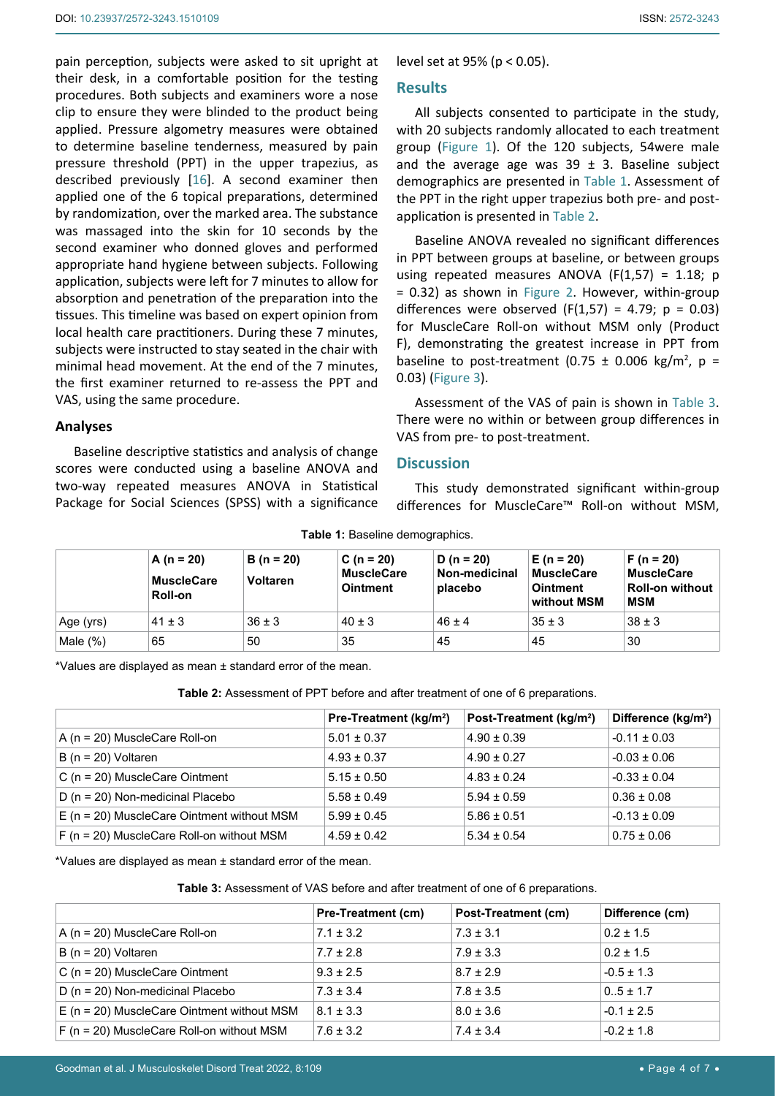pain perception, subjects were asked to sit upright at their desk, in a comfortable position for the testing procedures. Both subjects and examiners wore a nose clip to ensure they were blinded to the product being applied. Pressure algometry measures were obtained to determine baseline tenderness, measured by pain pressure threshold (PPT) in the upper trapezius, as described previously [[16\]](#page-6-12). A second examiner then applied one of the 6 topical preparations, determined by randomization, over the marked area. The substance was massaged into the skin for 10 seconds by the second examiner who donned gloves and performed appropriate hand hygiene between subjects. Following application, subjects were left for 7 minutes to allow for absorption and penetration of the preparation into the tissues. This timeline was based on expert opinion from local health care practitioners. During these 7 minutes, subjects were instructed to stay seated in the chair with minimal head movement. At the end of the 7 minutes, the first examiner returned to re-assess the PPT and VAS, using the same procedure.

#### **Analyses**

Baseline descriptive statistics and analysis of change scores were conducted using a baseline ANOVA and two-way repeated measures ANOVA in Statistical Package for Social Sciences (SPSS) with a significance level set at 95% (p < 0.05).

#### **Results**

All subjects consented to participate in the study, with 20 subjects randomly allocated to each treatment group (Figure 1). Of the 120 subjects, 54were male and the average age was  $39 \pm 3$ . Baseline subject demographics are presented in Table 1. Assessment of the PPT in the right upper trapezius both pre- and postapplication is presented in Table 2.

Baseline ANOVA revealed no significant differences in PPT between groups at baseline, or between groups using repeated measures ANOVA ( $F(1,57) = 1.18$ ; p = 0.32) as shown in Figure 2. However, within-group differences were observed  $(F(1,57) = 4.79; p = 0.03)$ for MuscleCare Roll-on without MSM only (Product F), demonstrating the greatest increase in PPT from baseline to post-treatment (0.75  $\pm$  0.006 kg/m<sup>2</sup>, p = 0.03) (Figure 3).

Assessment of the VAS of pain is shown in Table 3. There were no within or between group differences in VAS from pre- to post-treatment.

## **Discussion**

This study demonstrated significant within-group differences for MuscleCare™ Roll-on without MSM,

|  |  | Table 1: Baseline demographics. |
|--|--|---------------------------------|
|--|--|---------------------------------|

|             | A ( $n = 20$ )<br><b>MuscleCare</b><br>Roll-on | $B(n = 20)$<br><b>Voltaren</b> | $C(n = 20)$<br><b>MuscleCare</b><br><b>Ointment</b> | D ( $n = 20$ )<br>Non-medicinal<br>placebo | $E(n = 20)$<br><b>MuscleCare</b><br><b>Ointment</b><br>without MSM | $F(n = 20)$<br><b>MuscleCare</b><br><b>Roll-on without</b><br><b>MSM</b> |
|-------------|------------------------------------------------|--------------------------------|-----------------------------------------------------|--------------------------------------------|--------------------------------------------------------------------|--------------------------------------------------------------------------|
| Age (yrs)   | $41 \pm 3$                                     | $36 \pm 3$                     | $40 \pm 3$                                          | $46 + 4$                                   | $35 \pm 3$                                                         | $38 \pm 3$                                                               |
| Male $(\%)$ | 65                                             | 50                             | 35                                                  | 45                                         | 45                                                                 | 30                                                                       |

\*Values are displayed as mean ± standard error of the mean.

**Table 2:** Assessment of PPT before and after treatment of one of 6 preparations.

|                                              | Pre-Treatment (kg/m <sup>2</sup> ) | Post-Treatment (kg/m <sup>2</sup> ) | Difference (kg/m <sup>2</sup> ) |
|----------------------------------------------|------------------------------------|-------------------------------------|---------------------------------|
| A (n = 20) MuscleCare Roll-on                | $5.01 \pm 0.37$                    | $4.90 \pm 0.39$                     | $-0.11 \pm 0.03$                |
| $B(n = 20)$ Voltaren                         | $4.93 \pm 0.37$                    | $4.90 \pm 0.27$                     | $-0.03 \pm 0.06$                |
| C ( $n = 20$ ) MuscleCare Ointment           | $5.15 \pm 0.50$                    | $4.83 \pm 0.24$                     | $-0.33 \pm 0.04$                |
| $D(n = 20)$ Non-medicinal Placebo            | $5.58 \pm 0.49$                    | $5.94 \pm 0.59$                     | $0.36 \pm 0.08$                 |
| $E$ (n = 20) MuscleCare Ointment without MSM | $5.99 \pm 0.45$                    | $5.86 \pm 0.51$                     | $-0.13 \pm 0.09$                |
| $F$ (n = 20) MuscleCare Roll-on without MSM  | $4.59 \pm 0.42$                    | $5.34 \pm 0.54$                     | $0.75 \pm 0.06$                 |

\*Values are displayed as mean ± standard error of the mean.

**Table 3:** Assessment of VAS before and after treatment of one of 6 preparations.

|                                              | <b>Pre-Treatment (cm)</b> | Post-Treatment (cm) | Difference (cm) |
|----------------------------------------------|---------------------------|---------------------|-----------------|
| A ( $n = 20$ ) MuscleCare Roll-on            | $7.1 \pm 3.2$             | $7.3 \pm 3.1$       | $0.2 \pm 1.5$   |
| $B(n = 20)$ Voltaren                         | $7.7 \pm 2.8$             | $7.9 \pm 3.3$       | $0.2 \pm 1.5$   |
| C ( $n = 20$ ) MuscleCare Ointment           | $9.3 \pm 2.5$             | $8.7 \pm 2.9$       | $-0.5 \pm 1.3$  |
| D ( $n = 20$ ) Non-medicinal Placebo         | $7.3 \pm 3.4$             | $7.8 \pm 3.5$       | $0.5 \pm 1.7$   |
| $E$ (n = 20) MuscleCare Ointment without MSM | $8.1 \pm 3.3$             | $8.0 \pm 3.6$       | $-0.1 \pm 2.5$  |
| $F$ (n = 20) MuscleCare Roll-on without MSM  | $7.6 \pm 3.2$             | $7.4 \pm 3.4$       | $-0.2 \pm 1.8$  |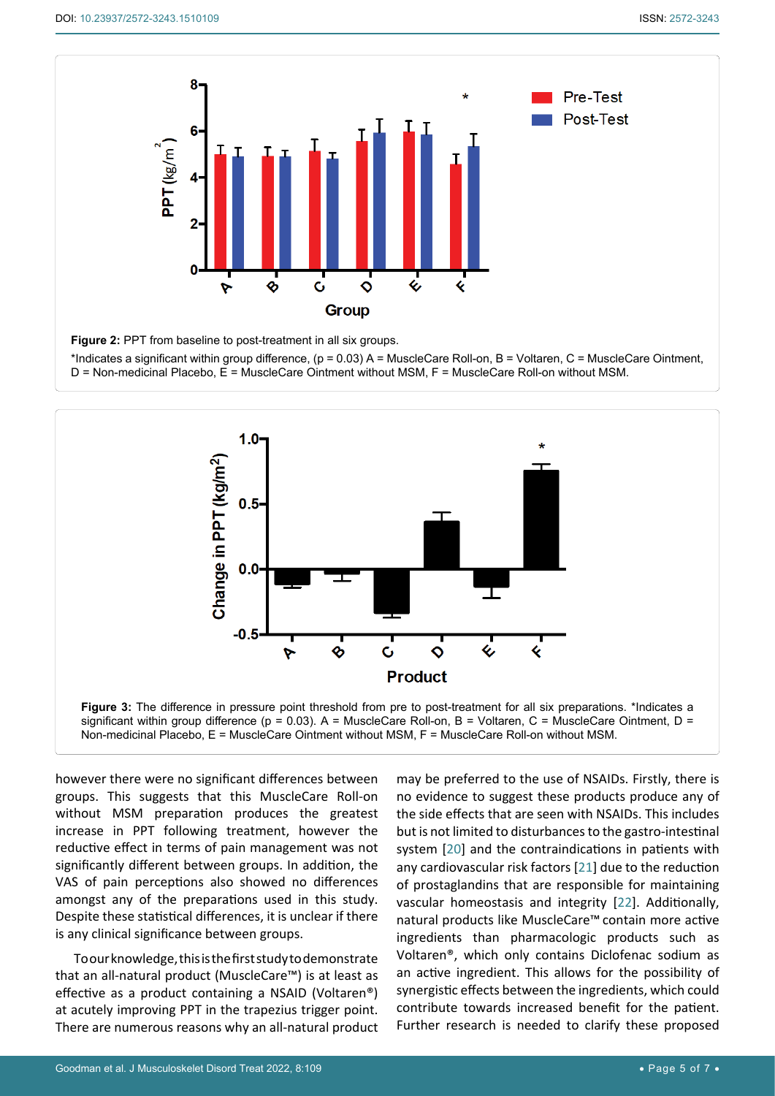٦



**Figure 2:** PPT from baseline to post-treatment in all six groups.

\*Indicates a significant within group difference, (p = 0.03) A = MuscleCare Roll-on, B = Voltaren, C = MuscleCare Ointment, D = Non-medicinal Placebo, E = MuscleCare Ointment without MSM, F = MuscleCare Roll-on without MSM.



significant within group difference ( $p = 0.03$ ). A = MuscleCare Roll-on, B = Voltaren, C = MuscleCare Ointment, D = Non-medicinal Placebo, E = MuscleCare Ointment without MSM, F = MuscleCare Roll-on without MSM.

however there were no significant differences between groups. This suggests that this MuscleCare Roll-on without MSM preparation produces the greatest increase in PPT following treatment, however the reductive effect in terms of pain management was not significantly different between groups. In addition, the VAS of pain perceptions also showed no differences amongst any of the preparations used in this study. Despite these statistical differences, it is unclear if there is any clinical significance between groups.

To our knowledge, this is the first study to demonstrate that an all-natural product (MuscleCare™) is at least as effective as a product containing a NSAID (Voltaren®) at acutely improving PPT in the trapezius trigger point. There are numerous reasons why an all-natural product

may be preferred to the use of NSAIDs. Firstly, there is no evidence to suggest these products produce any of the side effects that are seen with NSAIDs. This includes but is not limited to disturbances to the gastro-intestinal system [\[20](#page-6-16)] and the contraindications in patients with any cardiovascular risk factors [\[21](#page-6-17)] due to the reduction of prostaglandins that are responsible for maintaining vascular homeostasis and integrity [\[22](#page-6-18)]. Additionally, natural products like MuscleCare™ contain more active ingredients than pharmacologic products such as Voltaren®, which only contains Diclofenac sodium as an active ingredient. This allows for the possibility of synergistic effects between the ingredients, which could contribute towards increased benefit for the patient. Further research is needed to clarify these proposed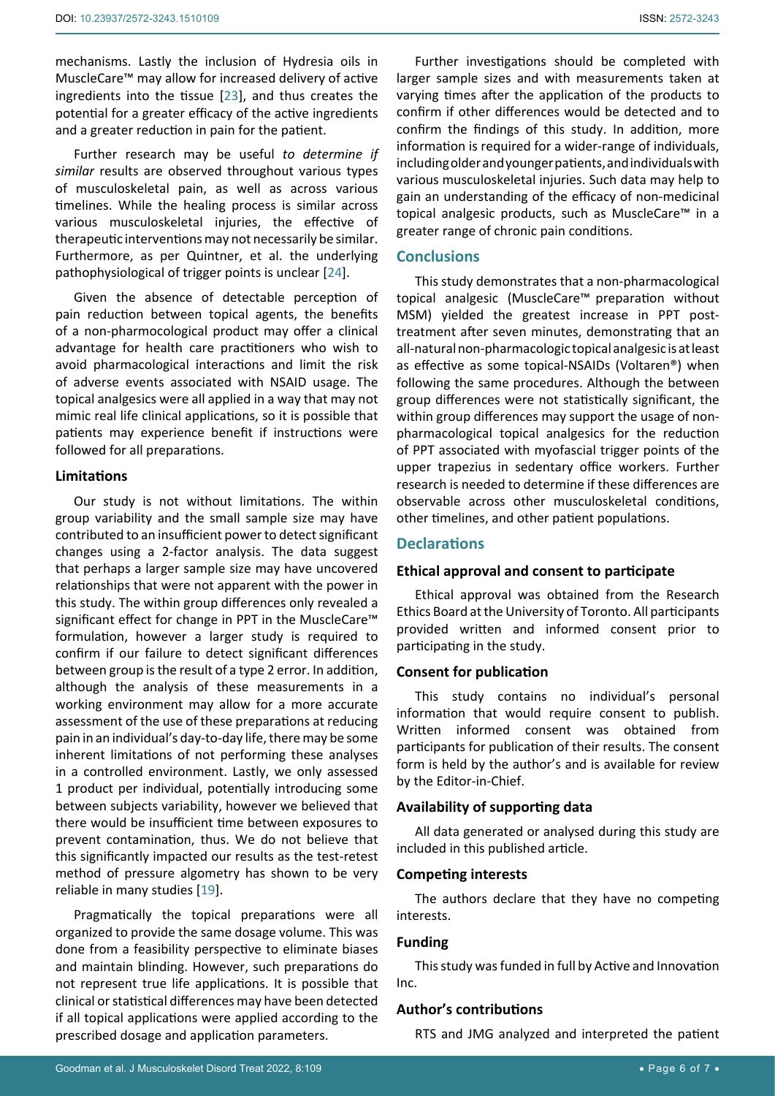mechanisms. Lastly the inclusion of Hydresia oils in MuscleCare™ may allow for increased delivery of active ingredients into the tissue [[23](#page-6-19)], and thus creates the potential for a greater efficacy of the active ingredients and a greater reduction in pain for the patient.

Further research may be useful *to determine if similar* results are observed throughout various types of musculoskeletal pain, as well as across various timelines. While the healing process is similar across various musculoskeletal injuries, the effective of therapeutic interventions may not necessarily be similar. Furthermore, as per Quintner, et al. the underlying pathophysiological of trigger points is unclear [[24\]](#page-6-20).

Given the absence of detectable perception of pain reduction between topical agents, the benefits of a non-pharmocological product may offer a clinical advantage for health care practitioners who wish to avoid pharmacological interactions and limit the risk of adverse events associated with NSAID usage. The topical analgesics were all applied in a way that may not mimic real life clinical applications, so it is possible that patients may experience benefit if instructions were followed for all preparations.

#### **Limitations**

Our study is not without limitations. The within group variability and the small sample size may have contributed to an insufficient power to detect significant changes using a 2-factor analysis. The data suggest that perhaps a larger sample size may have uncovered relationships that were not apparent with the power in this study. The within group differences only revealed a significant effect for change in PPT in the MuscleCare™ formulation, however a larger study is required to confirm if our failure to detect significant differences between group is the result of a type 2 error. In addition, although the analysis of these measurements in a working environment may allow for a more accurate assessment of the use of these preparations at reducing pain in an individual's day-to-day life, there may be some inherent limitations of not performing these analyses in a controlled environment. Lastly, we only assessed 1 product per individual, potentially introducing some between subjects variability, however we believed that there would be insufficient time between exposures to prevent contamination, thus. We do not believe that this significantly impacted our results as the test-retest method of pressure algometry has shown to be very reliable in many studies [\[19](#page-6-13)].

Pragmatically the topical preparations were all organized to provide the same dosage volume. This was done from a feasibility perspective to eliminate biases and maintain blinding. However, such preparations do not represent true life applications. It is possible that clinical or statistical differences may have been detected if all topical applications were applied according to the prescribed dosage and application parameters.

Further investigations should be completed with larger sample sizes and with measurements taken at varying times after the application of the products to confirm if other differences would be detected and to confirm the findings of this study. In addition, more information is required for a wider-range of individuals, including older and younger patients, and individuals with various musculoskeletal injuries. Such data may help to gain an understanding of the efficacy of non-medicinal topical analgesic products, such as MuscleCare™ in a greater range of chronic pain conditions.

## **Conclusions**

This study demonstrates that a non-pharmacological topical analgesic (MuscleCare™ preparation without MSM) yielded the greatest increase in PPT posttreatment after seven minutes, demonstrating that an all-natural non-pharmacologic topical analgesic is at least as effective as some topical-NSAIDs (Voltaren®) when following the same procedures. Although the between group differences were not statistically significant, the within group differences may support the usage of nonpharmacological topical analgesics for the reduction of PPT associated with myofascial trigger points of the upper trapezius in sedentary office workers. Further research is needed to determine if these differences are observable across other musculoskeletal conditions, other timelines, and other patient populations.

## **Declarations**

#### **Ethical approval and consent to participate**

Ethical approval was obtained from the Research Ethics Board at the University of Toronto. All participants provided written and informed consent prior to participating in the study.

#### **Consent for publication**

This study contains no individual's personal information that would require consent to publish. Written informed consent was obtained from participants for publication of their results. The consent form is held by the author's and is available for review by the Editor-in-Chief.

#### **Availability of supporting data**

All data generated or analysed during this study are included in this published article.

#### **Competing interests**

The authors declare that they have no competing interests.

## **Funding**

This study was funded in full by Active and Innovation Inc.

## **Author's contributions**

RTS and JMG analyzed and interpreted the patient